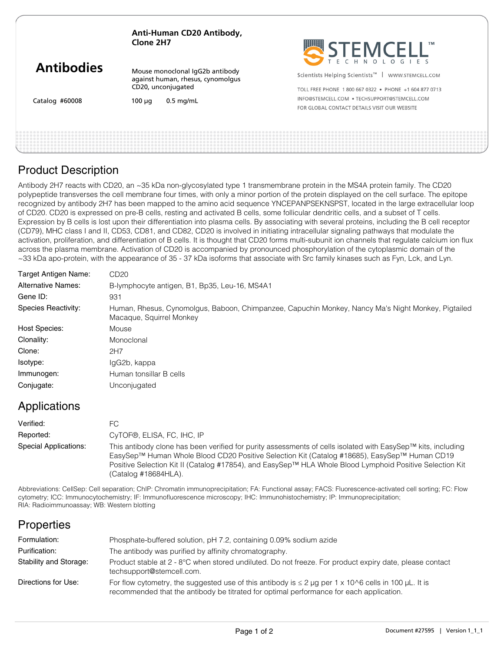| Anti-Human CD20 Antibody, |
|---------------------------|
| Clone 2H7                 |

| <b>Antibodies</b> |
|-------------------|
|-------------------|

Mouse monoclonal IgG2b antibody against human, rhesus, cynomolgus CD20, unconjugated

Catalog #60008

 $100 \mu q$  0.5 mg/mL



Scientists Helping Scientists<sup>™</sup> | WWW.STEMCELL.COM

TOLL FREE PHONE 1 800 667 0322 · PHONE +1 604 877 0713 INFO@STEMCELL.COM . TECHSUPPORT@STEMCELL.COM FOR GLOBAL CONTACT DETAILS VISIT OUR WERSITE

## Product Description

Antibody 2H7 reacts with CD20, an ~35 kDa non-glycosylated type 1 transmembrane protein in the MS4A protein family. The CD20 polypeptide transverses the cell membrane four times, with only a minor portion of the protein displayed on the cell surface. The epitope recognized by antibody 2H7 has been mapped to the amino acid sequence YNCEPANPSEKNSPST, located in the large extracellular loop of CD20. CD20 is expressed on pre-B cells, resting and activated B cells, some follicular dendritic cells, and a subset of T cells. Expression by B cells is lost upon their differentiation into plasma cells. By associating with several proteins, including the B cell receptor (CD79), MHC class I and II, CD53, CD81, and CD82, CD20 is involved in initiating intracellular signaling pathways that modulate the activation, proliferation, and differentiation of B cells. It is thought that CD20 forms multi-subunit ion channels that regulate calcium ion flux across the plasma membrane. Activation of CD20 is accompanied by pronounced phosphorylation of the cytoplasmic domain of the ~33 kDa apo-protein, with the appearance of 35 - 37 kDa isoforms that associate with Src family kinases such as Fyn, Lck, and Lyn.

| Target Antigen Name:      | CD20                                                                                                                           |
|---------------------------|--------------------------------------------------------------------------------------------------------------------------------|
| <b>Alternative Names:</b> | B-lymphocyte antigen, B1, Bp35, Leu-16, MS4A1                                                                                  |
| Gene ID:                  | 931                                                                                                                            |
| Species Reactivity:       | Human, Rhesus, Cynomolgus, Baboon, Chimpanzee, Capuchin Monkey, Nancy Ma's Night Monkey, Pigtailed<br>Macaque, Squirrel Monkey |
| <b>Host Species:</b>      | Mouse                                                                                                                          |
| Clonality:                | Monoclonal                                                                                                                     |
| Clone:                    | 2H7                                                                                                                            |
| Isotype:                  | lgG2b, kappa                                                                                                                   |
| Immunogen:                | Human tonsillar B cells                                                                                                        |
| Conjugate:                | Unconjugated                                                                                                                   |

## Applications

| Verified:             | FC.                                                                                                                                                                                                                                                                                                                                              |
|-----------------------|--------------------------------------------------------------------------------------------------------------------------------------------------------------------------------------------------------------------------------------------------------------------------------------------------------------------------------------------------|
| Reported:             | CyTOF®, ELISA, FC, IHC, IP                                                                                                                                                                                                                                                                                                                       |
| Special Applications: | This antibody clone has been verified for purity assessments of cells isolated with EasySep™ kits, including<br>EasySep™ Human Whole Blood CD20 Positive Selection Kit (Catalog #18685), EasySep™ Human CD19<br>Positive Selection Kit II (Catalog #17854), and EasySep™ HLA Whole Blood Lymphoid Positive Selection Kit<br>(Catalog #18684HLA). |

Abbreviations: CellSep: Cell separation; ChIP: Chromatin immunoprecipitation; FA: Functional assay; FACS: Fluorescence-activated cell sorting; FC: Flow cytometry; ICC: Immunocytochemistry; IF: Immunofluorescence microscopy; IHC: Immunohistochemistry; IP: Immunoprecipitation; RIA: Radioimmunoassay; WB: Western blotting

## **Properties**

| Formulation:           | Phosphate-buffered solution, pH 7.2, containing 0.09% sodium azide                                                                                                                                   |
|------------------------|------------------------------------------------------------------------------------------------------------------------------------------------------------------------------------------------------|
| Purification:          | The antibody was purified by affinity chromatography.                                                                                                                                                |
| Stability and Storage: | Product stable at 2 - 8°C when stored undiluted. Do not freeze. For product expiry date, please contact<br>techsupport@stemcell.com.                                                                 |
| Directions for Use:    | For flow cytometry, the suggested use of this antibody is $\leq 2$ µg per 1 x 10^6 cells in 100 µL. It is<br>recommended that the antibody be titrated for optimal performance for each application. |